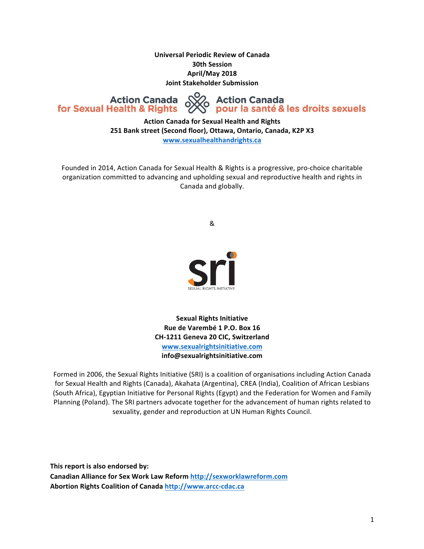**Universal Periodic Review of Canada 30th Session April/May 2018 Joint Stakeholder Submission**

**Action Canada** for Sexual Health & Rights

√ Action Canada<br>S pour la santé & les droits sexuels

**Action Canada for Sexual Health and Rights** 251 Bank street (Second floor), Ottawa, Ontario, Canada, K2P X3 **www.sexualhealthandrights.ca**

Founded in 2014, Action Canada for Sexual Health & Rights is a progressive, pro-choice charitable organization committed to advancing and upholding sexual and reproductive health and rights in Canada and globally.

&



**Sexual Rights Initiative Rue de Varembé 1 P.O. Box 16 CH-1211 Geneva 20 CIC, Switzerland www.sexualrightsinitiative.com info@sexualrightsinitiative.com**

Formed in 2006, the Sexual Rights Initiative (SRI) is a coalition of organisations including Action Canada for Sexual Health and Rights (Canada), Akahata (Argentina), CREA (India), Coalition of African Lesbians (South Africa), Egyptian Initiative for Personal Rights (Egypt) and the Federation for Women and Family Planning (Poland). The SRI partners advocate together for the advancement of human rights related to sexuality, gender and reproduction at UN Human Rights Council.

This report is also endorsed by: Canadian Alliance for Sex Work Law Reform http://sexworklawreform.com Abortion Rights Coalition of Canada http://www.arcc-cdac.ca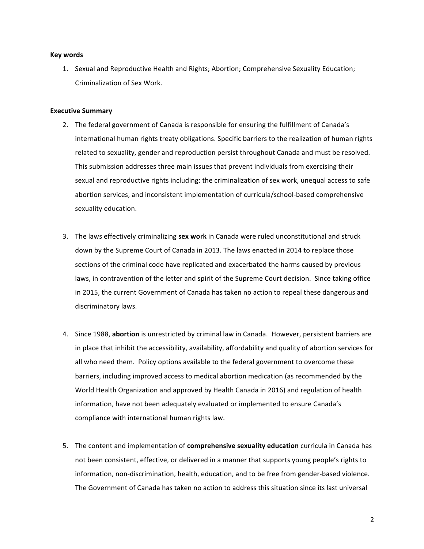#### **Key words**

1. Sexual and Reproductive Health and Rights; Abortion; Comprehensive Sexuality Education; Criminalization of Sex Work.

## **Executive Summary**

- 2. The federal government of Canada is responsible for ensuring the fulfillment of Canada's international human rights treaty obligations. Specific barriers to the realization of human rights related to sexuality, gender and reproduction persist throughout Canada and must be resolved. This submission addresses three main issues that prevent individuals from exercising their sexual and reproductive rights including: the criminalization of sex work, unequal access to safe abortion services, and inconsistent implementation of curricula/school-based comprehensive sexuality education.
- 3. The laws effectively criminalizing sex work in Canada were ruled unconstitutional and struck down by the Supreme Court of Canada in 2013. The laws enacted in 2014 to replace those sections of the criminal code have replicated and exacerbated the harms caused by previous laws, in contravention of the letter and spirit of the Supreme Court decision. Since taking office in 2015, the current Government of Canada has taken no action to repeal these dangerous and discriminatory laws.
- 4. Since 1988, **abortion** is unrestricted by criminal law in Canada. However, persistent barriers are in place that inhibit the accessibility, availability, affordability and quality of abortion services for all who need them. Policy options available to the federal government to overcome these barriers, including improved access to medical abortion medication (as recommended by the World Health Organization and approved by Health Canada in 2016) and regulation of health information, have not been adequately evaluated or implemented to ensure Canada's compliance with international human rights law.
- 5. The content and implementation of **comprehensive sexuality education** curricula in Canada has not been consistent, effective, or delivered in a manner that supports young people's rights to information, non-discrimination, health, education, and to be free from gender-based violence. The Government of Canada has taken no action to address this situation since its last universal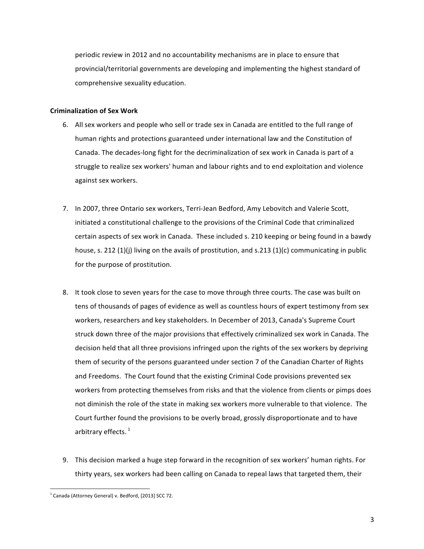periodic review in 2012 and no accountability mechanisms are in place to ensure that provincial/territorial governments are developing and implementing the highest standard of comprehensive sexuality education.

## **Criminalization of Sex Work**

- 6. All sex workers and people who sell or trade sex in Canada are entitled to the full range of human rights and protections guaranteed under international law and the Constitution of Canada. The decades-long fight for the decriminalization of sex work in Canada is part of a struggle to realize sex workers' human and labour rights and to end exploitation and violence against sex workers.
- 7. In 2007, three Ontario sex workers, Terri-Jean Bedford, Amy Lebovitch and Valerie Scott, initiated a constitutional challenge to the provisions of the Criminal Code that criminalized certain aspects of sex work in Canada. These included s. 210 keeping or being found in a bawdy house, s. 212 (1)(j) living on the avails of prostitution, and s.213 (1)(c) communicating in public for the purpose of prostitution.
- 8. It took close to seven years for the case to move through three courts. The case was built on tens of thousands of pages of evidence as well as countless hours of expert testimony from sex workers, researchers and key stakeholders. In December of 2013, Canada's Supreme Court struck down three of the major provisions that effectively criminalized sex work in Canada. The decision held that all three provisions infringed upon the rights of the sex workers by depriving them of security of the persons guaranteed under section 7 of the Canadian Charter of Rights and Freedoms. The Court found that the existing Criminal Code provisions prevented sex workers from protecting themselves from risks and that the violence from clients or pimps does not diminish the role of the state in making sex workers more vulnerable to that violence. The Court further found the provisions to be overly broad, grossly disproportionate and to have arbitrary effects. $1$
- 9. This decision marked a huge step forward in the recognition of sex workers' human rights. For thirty years, sex workers had been calling on Canada to repeal laws that targeted them, their

 $1$  Canada (Attorney General) v. Bedford, [2013] SCC 72.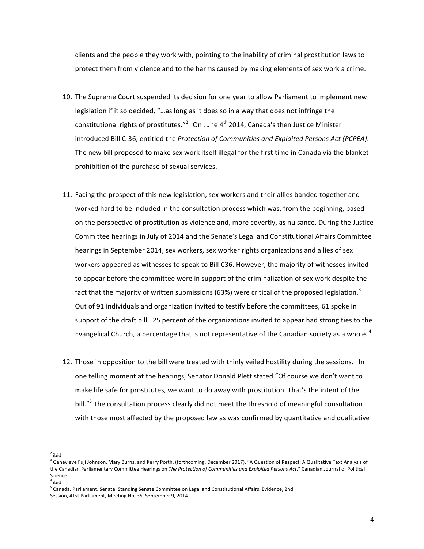clients and the people they work with, pointing to the inability of criminal prostitution laws to protect them from violence and to the harms caused by making elements of sex work a crime.

- 10. The Supreme Court suspended its decision for one year to allow Parliament to implement new legislation if it so decided, "...as long as it does so in a way that does not infringe the constitutional rights of prostitutes."<sup>2</sup> On June  $4<sup>th</sup>$  2014, Canada's then Justice Minister introduced Bill C-36, entitled the *Protection of Communities and Exploited Persons Act (PCPEA)*. The new bill proposed to make sex work itself illegal for the first time in Canada via the blanket prohibition of the purchase of sexual services.
- 11. Facing the prospect of this new legislation, sex workers and their allies banded together and worked hard to be included in the consultation process which was, from the beginning, based on the perspective of prostitution as violence and, more covertly, as nuisance. During the Justice Committee hearings in July of 2014 and the Senate's Legal and Constitutional Affairs Committee hearings in September 2014, sex workers, sex worker rights organizations and allies of sex workers appeared as witnesses to speak to Bill C36. However, the majority of witnesses invited to appear before the committee were in support of the criminalization of sex work despite the fact that the majority of written submissions (63%) were critical of the proposed legislation.<sup>3</sup> Out of 91 individuals and organization invited to testify before the committees, 61 spoke in support of the draft bill. 25 percent of the organizations invited to appear had strong ties to the Evangelical Church, a percentage that is not representative of the Canadian society as a whole.  $^4$
- 12. Those in opposition to the bill were treated with thinly veiled hostility during the sessions. In one telling moment at the hearings, Senator Donald Plett stated "Of course we don't want to make life safe for prostitutes, we want to do away with prostitution. That's the intent of the bill."<sup>5</sup> The consultation process clearly did not meet the threshold of meaningful consultation with those most affected by the proposed law as was confirmed by quantitative and qualitative

<sup>&</sup>lt;u> 1989 - Johann Barn, mars eta bainar eta industrial eta baina eta baina eta baina eta baina eta baina eta bain</u>  $2$ ibid

<sup>&</sup>lt;sup>3</sup> Genevieve Fuji Johnson, Mary Burns, and Kerry Porth, (forthcoming, December 2017). "A Question of Respect: A Qualitative Text Analysis of the Canadian Parliamentary Committee Hearings on The Protection of Communities and Exploited Persons Act," Canadian Journal of Political Science.

 $4$  ibid

 $^5$  Canada. Parliament. Senate. Standing Senate Committee on Legal and Constitutional Affairs. Evidence, 2nd Session, 41st Parliament, Meeting No. 35, September 9, 2014.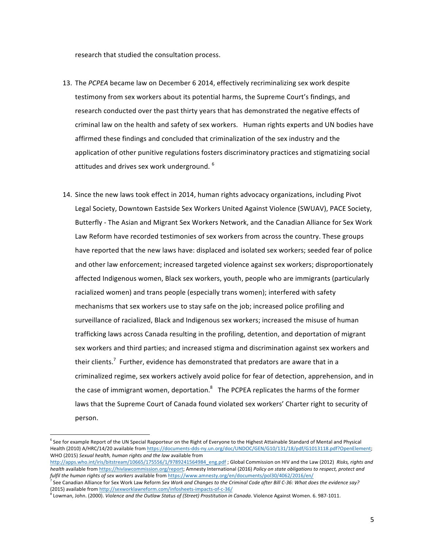research that studied the consultation process.

- 13. The PCPEA became law on December 6 2014, effectively recriminalizing sex work despite testimony from sex workers about its potential harms, the Supreme Court's findings, and research conducted over the past thirty years that has demonstrated the negative effects of criminal law on the health and safety of sex workers. Human rights experts and UN bodies have affirmed these findings and concluded that criminalization of the sex industry and the application of other punitive regulations fosters discriminatory practices and stigmatizing social attitudes and drives sex work underground.  $^6$
- 14. Since the new laws took effect in 2014, human rights advocacy organizations, including Pivot Legal Society, Downtown Eastside Sex Workers United Against Violence (SWUAV), PACE Society, Butterfly - The Asian and Migrant Sex Workers Network, and the Canadian Alliance for Sex Work Law Reform have recorded testimonies of sex workers from across the country. These groups have reported that the new laws have: displaced and isolated sex workers; seeded fear of police and other law enforcement; increased targeted violence against sex workers; disproportionately affected Indigenous women, Black sex workers, youth, people who are immigrants (particularly racialized women) and trans people (especially trans women); interfered with safety mechanisms that sex workers use to stay safe on the job; increased police profiling and surveillance of racialized, Black and Indigenous sex workers; increased the misuse of human trafficking laws across Canada resulting in the profiling, detention, and deportation of migrant sex workers and third parties; and increased stigma and discrimination against sex workers and their clients.<sup>7</sup> Further, evidence has demonstrated that predators are aware that in a criminalized regime, sex workers actively avoid police for fear of detection, apprehension, and in the case of immigrant women, deportation. $^8$  The PCPEA replicates the harms of the former laws that the Supreme Court of Canada found violated sex workers' Charter right to security of person.

 $6$  See for example Report of the UN Special Rapporteur on the Right of Everyone to the Highest Attainable Standard of Mental and Physical Health (2010) A/HRC/14/20 available from https://documents-dds-ny.un.org/doc/UNDOC/GEN/G10/131/18/pdf/G1013118.pdf?OpenElement; WHO (2015) Sexual health, human rights and the law available from

http://apps.who.int/iris/bitstream/10665/175556/1/9789241564984\_eng.pdf ; Global Commission on HIV and the Law (2012) Risks, rights and *health* available from https://hivlawcommission.org/report; Amnesty International (2016) Policy on state obligations to respect, protect and fulfil the human rights of sex workers available from https://www.amnesty.org/en/documents/pol30/4062/2016/en/

See Canadian Alliance for Sex Work Law Reform Sex Work and Changes to the Criminal Code after Bill C-36: What does the evidence say? (2015) available from http://sexworklawreform.com/infosheets-impacts-of-c-36/

<sup>&</sup>lt;sup>3</sup> Lowman, John. (2000). *Violence and the Outlaw Status of (Street) Prostitution in Canada*. Violence Against Women. 6. 987-1011.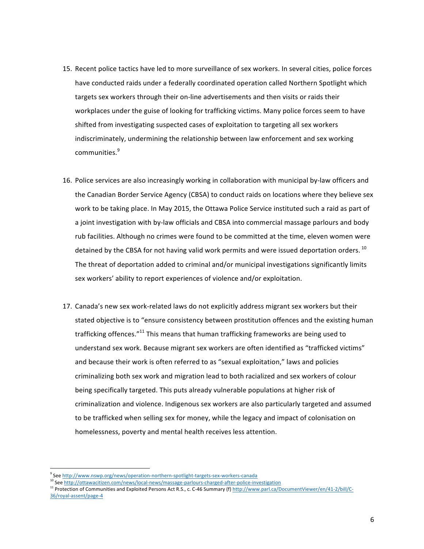- 15. Recent police tactics have led to more surveillance of sex workers. In several cities, police forces have conducted raids under a federally coordinated operation called Northern Spotlight which targets sex workers through their on-line advertisements and then visits or raids their workplaces under the guise of looking for trafficking victims. Many police forces seem to have shifted from investigating suspected cases of exploitation to targeting all sex workers indiscriminately, undermining the relationship between law enforcement and sex working communities.<sup>9</sup>
- 16. Police services are also increasingly working in collaboration with municipal by-law officers and the Canadian Border Service Agency (CBSA) to conduct raids on locations where they believe sex work to be taking place. In May 2015, the Ottawa Police Service instituted such a raid as part of a joint investigation with by-law officials and CBSA into commercial massage parlours and body rub facilities. Although no crimes were found to be committed at the time, eleven women were detained by the CBSA for not having valid work permits and were issued deportation orders.<sup>10</sup> The threat of deportation added to criminal and/or municipal investigations significantly limits sex workers' ability to report experiences of violence and/or exploitation.
- 17. Canada's new sex work-related laws do not explicitly address migrant sex workers but their stated objective is to "ensure consistency between prostitution offences and the existing human trafficking offences." $11$  This means that human trafficking frameworks are being used to understand sex work. Because migrant sex workers are often identified as "trafficked victims" and because their work is often referred to as "sexual exploitation," laws and policies criminalizing both sex work and migration lead to both racialized and sex workers of colour being specifically targeted. This puts already vulnerable populations at higher risk of criminalization and violence. Indigenous sex workers are also particularly targeted and assumed to be trafficked when selling sex for money, while the legacy and impact of colonisation on homelessness, poverty and mental health receives less attention.

 

See http://www.nswp.org/news/operation-northern-spotlight-targets-sex-workers-canada

<sup>&</sup>lt;sup>10</sup> See http://ottawacitizen.com/news/local-news/massage-parlours-charged-after-police-investigation

<sup>11</sup> Protection of Communities and Exploited Persons Act R.S., c. C-46 Summary (f) http://www.parl.ca/DocumentViewer/en/41-2/bill/C-36/royal-assent/page-4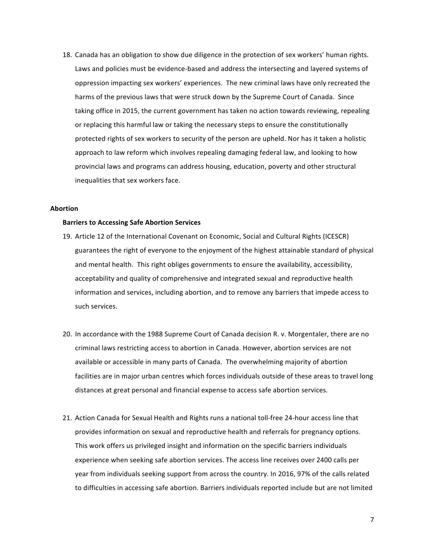18. Canada has an obligation to show due diligence in the protection of sex workers' human rights. Laws and policies must be evidence-based and address the intersecting and layered systems of oppression impacting sex workers' experiences. The new criminal laws have only recreated the harms of the previous laws that were struck down by the Supreme Court of Canada. Since taking office in 2015, the current government has taken no action towards reviewing, repealing or replacing this harmful law or taking the necessary steps to ensure the constitutionally protected rights of sex workers to security of the person are upheld. Nor has it taken a holistic approach to law reform which involves repealing damaging federal law, and looking to how provincial laws and programs can address housing, education, poverty and other structural inequalities that sex workers face.

#### **Abortion**

## **Barriers to Accessing Safe Abortion Services**

- 19. Article 12 of the International Covenant on Economic, Social and Cultural Rights (ICESCR) guarantees the right of everyone to the enjoyment of the highest attainable standard of physical and mental health. This right obliges governments to ensure the availability, accessibility, acceptability and quality of comprehensive and integrated sexual and reproductive health information and services, including abortion, and to remove any barriers that impede access to such services.
- 20. In accordance with the 1988 Supreme Court of Canada decision R. v. Morgentaler, there are no criminal laws restricting access to abortion in Canada. However, abortion services are not available or accessible in many parts of Canada. The overwhelming majority of abortion facilities are in major urban centres which forces individuals outside of these areas to travel long distances at great personal and financial expense to access safe abortion services.
- 21. Action Canada for Sexual Health and Rights runs a national toll-free 24-hour access line that provides information on sexual and reproductive health and referrals for pregnancy options. This work offers us privileged insight and information on the specific barriers individuals experience when seeking safe abortion services. The access line receives over 2400 calls per year from individuals seeking support from across the country. In 2016, 97% of the calls related to difficulties in accessing safe abortion. Barriers individuals reported include but are not limited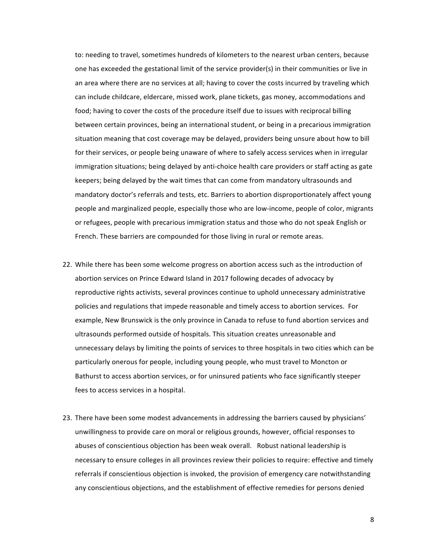to: needing to travel, sometimes hundreds of kilometers to the nearest urban centers, because one has exceeded the gestational limit of the service provider(s) in their communities or live in an area where there are no services at all; having to cover the costs incurred by traveling which can include childcare, eldercare, missed work, plane tickets, gas money, accommodations and food; having to cover the costs of the procedure itself due to issues with reciprocal billing between certain provinces, being an international student, or being in a precarious immigration situation meaning that cost coverage may be delayed, providers being unsure about how to bill for their services, or people being unaware of where to safely access services when in irregular immigration situations; being delayed by anti-choice health care providers or staff acting as gate keepers; being delayed by the wait times that can come from mandatory ultrasounds and mandatory doctor's referrals and tests, etc. Barriers to abortion disproportionately affect young people and marginalized people, especially those who are low-income, people of color, migrants or refugees, people with precarious immigration status and those who do not speak English or French. These barriers are compounded for those living in rural or remote areas.

- 22. While there has been some welcome progress on abortion access such as the introduction of abortion services on Prince Edward Island in 2017 following decades of advocacy by reproductive rights activists, several provinces continue to uphold unnecessary administrative policies and regulations that impede reasonable and timely access to abortion services. For example, New Brunswick is the only province in Canada to refuse to fund abortion services and ultrasounds performed outside of hospitals. This situation creates unreasonable and unnecessary delays by limiting the points of services to three hospitals in two cities which can be particularly onerous for people, including young people, who must travel to Moncton or Bathurst to access abortion services, or for uninsured patients who face significantly steeper fees to access services in a hospital.
- 23. There have been some modest advancements in addressing the barriers caused by physicians' unwillingness to provide care on moral or religious grounds, however, official responses to abuses of conscientious objection has been weak overall. Robust national leadership is necessary to ensure colleges in all provinces review their policies to require: effective and timely referrals if conscientious objection is invoked, the provision of emergency care notwithstanding any conscientious objections, and the establishment of effective remedies for persons denied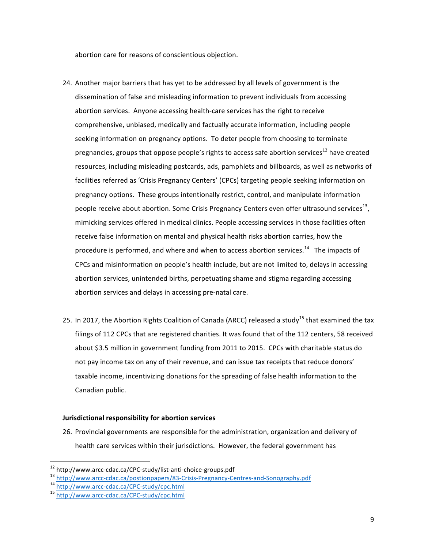abortion care for reasons of conscientious objection.

- 24. Another major barriers that has yet to be addressed by all levels of government is the dissemination of false and misleading information to prevent individuals from accessing abortion services. Anyone accessing health-care services has the right to receive comprehensive, unbiased, medically and factually accurate information, including people seeking information on pregnancy options. To deter people from choosing to terminate pregnancies, groups that oppose people's rights to access safe abortion services<sup>12</sup> have created resources, including misleading postcards, ads, pamphlets and billboards, as well as networks of facilities referred as 'Crisis Pregnancy Centers' (CPCs) targeting people seeking information on pregnancy options. These groups intentionally restrict, control, and manipulate information people receive about abortion. Some Crisis Pregnancy Centers even offer ultrasound services<sup>13</sup>, mimicking services offered in medical clinics. People accessing services in those facilities often receive false information on mental and physical health risks abortion carries, how the procedure is performed, and where and when to access abortion services.<sup>14</sup> The impacts of CPCs and misinformation on people's health include, but are not limited to, delays in accessing abortion services, unintended births, perpetuating shame and stigma regarding accessing abortion services and delays in accessing pre-natal care.
- 25. In 2017, the Abortion Rights Coalition of Canada (ARCC) released a study<sup>15</sup> that examined the tax filings of 112 CPCs that are registered charities. It was found that of the 112 centers, 58 received about \$3.5 million in government funding from 2011 to 2015. CPCs with charitable status do not pay income tax on any of their revenue, and can issue tax receipts that reduce donors' taxable income, incentivizing donations for the spreading of false health information to the Canadian public.

## **Jurisdictional responsibility for abortion services**

26. Provincial governments are responsible for the administration, organization and delivery of health care services within their jurisdictions. However, the federal government has

<sup>&</sup>lt;sup>12</sup> http://www.arcc-cdac.ca/CPC-study/list-anti-choice-groups.pdf

<sup>14&</sup>lt;br>http://www.arcc-cdac.ca/postionpapers/83-Crisis-Pregnancy-Centres-and-Sonography.pdf<br>14<br>http://www.arcc-cdac.ca/CPC-study/cpc.html<br>15<br>http://www.arcc-cdac.ca/CPC-study/cpc.html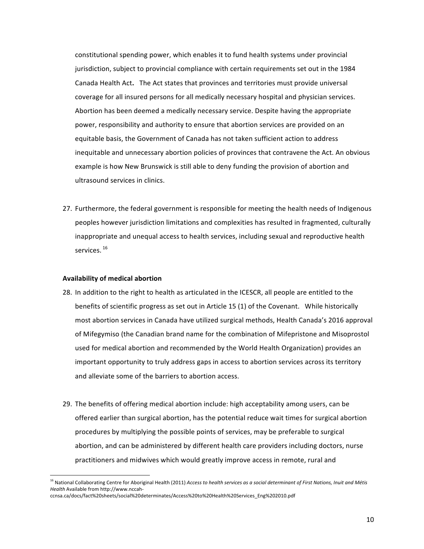constitutional spending power, which enables it to fund health systems under provincial jurisdiction, subject to provincial compliance with certain requirements set out in the 1984 Canada Health Act. The Act states that provinces and territories must provide universal coverage for all insured persons for all medically necessary hospital and physician services. Abortion has been deemed a medically necessary service. Despite having the appropriate power, responsibility and authority to ensure that abortion services are provided on an equitable basis, the Government of Canada has not taken sufficient action to address inequitable and unnecessary abortion policies of provinces that contravene the Act. An obvious example is how New Brunswick is still able to deny funding the provision of abortion and ultrasound services in clinics.

27. Furthermore, the federal government is responsible for meeting the health needs of Indigenous peoples however jurisdiction limitations and complexities has resulted in fragmented, culturally inappropriate and unequal access to health services, including sexual and reproductive health services.<sup>16</sup>

### **Availability of medical abortion**

- 28. In addition to the right to health as articulated in the ICESCR, all people are entitled to the benefits of scientific progress as set out in Article 15 (1) of the Covenant. While historically most abortion services in Canada have utilized surgical methods, Health Canada's 2016 approval of Mifegymiso (the Canadian brand name for the combination of Mifepristone and Misoprostol used for medical abortion and recommended by the World Health Organization) provides an important opportunity to truly address gaps in access to abortion services across its territory and alleviate some of the barriers to abortion access.
- 29. The benefits of offering medical abortion include: high acceptability among users, can be offered earlier than surgical abortion, has the potential reduce wait times for surgical abortion procedures by multiplying the possible points of services, may be preferable to surgical abortion, and can be administered by different health care providers including doctors, nurse practitioners and midwives which would greatly improve access in remote, rural and

<sup>&</sup>lt;sup>16</sup> National Collaborating Centre for Aboriginal Health (2011) Access to health services as a social determinant of First Nations, Inuit and Métis *Health* Available from http://www.nccahccnsa.ca/docs/fact%20sheets/social%20determinates/Access%20to%20Health%20Services\_Eng%202010.pdf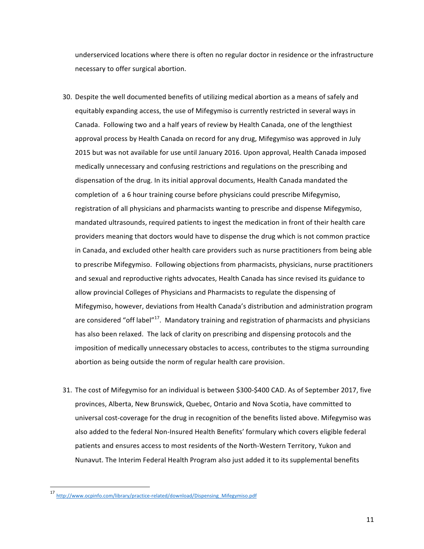underserviced locations where there is often no regular doctor in residence or the infrastructure necessary to offer surgical abortion.

- 30. Despite the well documented benefits of utilizing medical abortion as a means of safely and equitably expanding access, the use of Mifegymiso is currently restricted in several ways in Canada. Following two and a half years of review by Health Canada, one of the lengthiest approval process by Health Canada on record for any drug, Mifegymiso was approved in July 2015 but was not available for use until January 2016. Upon approval, Health Canada imposed medically unnecessary and confusing restrictions and regulations on the prescribing and dispensation of the drug. In its initial approval documents, Health Canada mandated the completion of a 6 hour training course before physicians could prescribe Mifegymiso, registration of all physicians and pharmacists wanting to prescribe and dispense Mifegymiso, mandated ultrasounds, required patients to ingest the medication in front of their health care providers meaning that doctors would have to dispense the drug which is not common practice in Canada, and excluded other health care providers such as nurse practitioners from being able to prescribe Mifegymiso. Following objections from pharmacists, physicians, nurse practitioners and sexual and reproductive rights advocates, Health Canada has since revised its guidance to allow provincial Colleges of Physicians and Pharmacists to regulate the dispensing of Mifegymiso, however, deviations from Health Canada's distribution and administration program are considered "off label"<sup>17</sup>. Mandatory training and registration of pharmacists and physicians has also been relaxed. The lack of clarity on prescribing and dispensing protocols and the imposition of medically unnecessary obstacles to access, contributes to the stigma surrounding abortion as being outside the norm of regular health care provision.
- 31. The cost of Mifegymiso for an individual is between \$300-\$400 CAD. As of September 2017, five provinces, Alberta, New Brunswick, Quebec, Ontario and Nova Scotia, have committed to universal cost-coverage for the drug in recognition of the benefits listed above. Mifegymiso was also added to the federal Non-Insured Health Benefits' formulary which covers eligible federal patients and ensures access to most residents of the North-Western Territory, Yukon and Nunavut. The Interim Federal Health Program also just added it to its supplemental benefits

<sup>17</sup> http://www.ocpinfo.com/library/practice-related/download/Dispensing\_Mifegymiso.pdf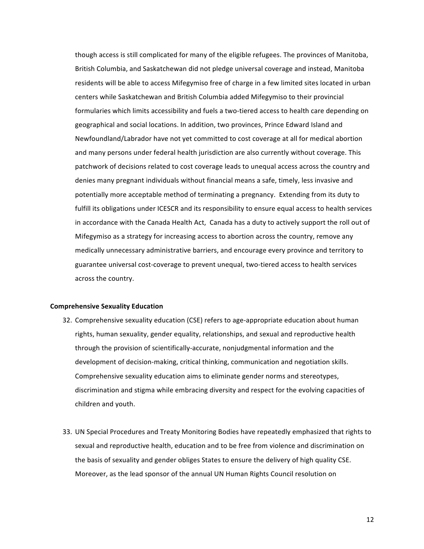though access is still complicated for many of the eligible refugees. The provinces of Manitoba, British Columbia, and Saskatchewan did not pledge universal coverage and instead, Manitoba residents will be able to access Mifegymiso free of charge in a few limited sites located in urban centers while Saskatchewan and British Columbia added Mifegymiso to their provincial formularies which limits accessibility and fuels a two-tiered access to health care depending on geographical and social locations. In addition, two provinces, Prince Edward Island and Newfoundland/Labrador have not yet committed to cost coverage at all for medical abortion and many persons under federal health jurisdiction are also currently without coverage. This patchwork of decisions related to cost coverage leads to unequal access across the country and denies many pregnant individuals without financial means a safe, timely, less invasive and potentially more acceptable method of terminating a pregnancy. Extending from its duty to fulfill its obligations under ICESCR and its responsibility to ensure equal access to health services in accordance with the Canada Health Act, Canada has a duty to actively support the roll out of Mifegymiso as a strategy for increasing access to abortion across the country, remove any medically unnecessary administrative barriers, and encourage every province and territory to guarantee universal cost-coverage to prevent unequal, two-tiered access to health services across the country.

## **Comprehensive Sexuality Education**

- 32. Comprehensive sexuality education (CSE) refers to age-appropriate education about human rights, human sexuality, gender equality, relationships, and sexual and reproductive health through the provision of scientifically-accurate, nonjudgmental information and the development of decision-making, critical thinking, communication and negotiation skills. Comprehensive sexuality education aims to eliminate gender norms and stereotypes, discrimination and stigma while embracing diversity and respect for the evolving capacities of children and youth.
- 33. UN Special Procedures and Treaty Monitoring Bodies have repeatedly emphasized that rights to sexual and reproductive health, education and to be free from violence and discrimination on the basis of sexuality and gender obliges States to ensure the delivery of high quality CSE. Moreover, as the lead sponsor of the annual UN Human Rights Council resolution on

12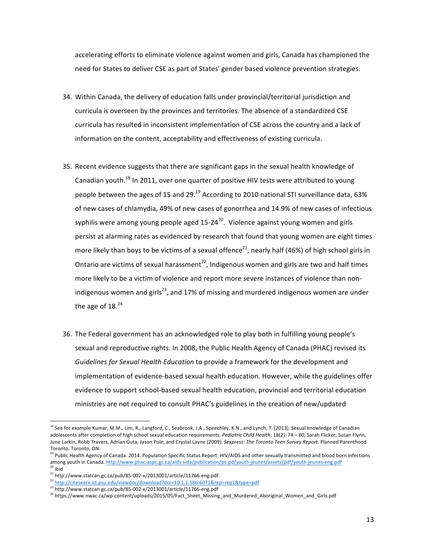accelerating efforts to eliminate violence against women and girls, Canada has championed the need for States to deliver CSE as part of States' gender based violence prevention strategies.

- 34. Within Canada, the delivery of education falls under provincial/territorial jurisdiction and curricula is overseen by the provinces and territories. The absence of a standardized CSE curricula has resulted in inconsistent implementation of CSE across the country and a lack of information on the content, acceptability and effectiveness of existing curricula.
- 35. Recent evidence suggests that there are significant gaps in the sexual health knowledge of Canadian youth.<sup>18</sup> In 2011, over one quarter of positive HIV tests were attributed to young people between the ages of 15 and 29.<sup>19</sup> According to 2010 national STI surveillance data, 63% of new cases of chlamydia, 49% of new cases of gonorrhea and 14.9% of new cases of infectious syphilis were among young people aged  $15-24^{20}$ . Violence against young women and girls persist at alarming rates as evidenced by research that found that young women are eight times more likely than boys to be victims of a sexual offence<sup>21</sup>, nearly half (46%) of high school girls in Ontario are victims of sexual harassment<sup>22</sup>, Indigenous women and girls are two and half times more likely to be a victim of violence and report more severe instances of violence than nonindigenous women and girls<sup>23</sup>, and 17% of missing and murdered indigenous women are under the age of  $18.<sup>24</sup>$
- 36. The Federal government has an acknowledged role to play both in fulfilling young people's sexual and reproductive rights. In 2008, the Public Health Agency of Canada (PHAC) revised its Guidelines for Sexual Health Education to provide a framework for the development and implementation of evidence-based sexual health education. However, while the guidelines offer evidence to support school-based sexual health education, provincial and territorial education ministries are not required to consult PHAC's guidelines in the creation of new/updated

<sup>&</sup>lt;sup>18</sup> See for example Kumar, M.M., Lim, R., Langford, C., Seabrook, J.A., Speechley, K.N., and Lynch, T. (2013). Sexual knowledge of Canadian adolescents after completion of high school sexual education requirements. *Pediatric Child Health*; 18(2): 74 - 80; Sarah Flicker, Susan Flynn, June Larkin, Robb Travers, Adrian Guta, Jason Pole, and Crystal Layne (2009). Sexpress: The Toronto Teen Survey Report. Planned Parenthood Toronto. Toronto, ON.

 $19$  Public Health Agency of Canada. 2014. Population Specific Status Report: HIV/AIDS and other sexually transmitted and blood born infections among youth in Canada. http://www.phac-aspc.gc.ca/aids-sida/publication/ps-pd/youth-jeunes/assets/pdf/youth-jeunes-eng.pdf  $20$  ibid

 $21$  http://www.statcan.gc.ca/pub/85-002-x/2013001/article/11766-eng.pdf

<sup>22</sup> http://citeseerx.ist.psu.edu/viewdoc/download?doi=10.1.1.586.6071&rep=rep1&type=pdf

<sup>23</sup> http://www.statcan.gc.ca/pub/85-002-x/2013001/article/11766-eng.pdf

<sup>24</sup> https://www.nwac.ca/wp-content/uploads/2015/05/Fact\_Sheet\_Missing\_and\_Murdered\_Aboriginal\_Women\_and\_Girls.pdf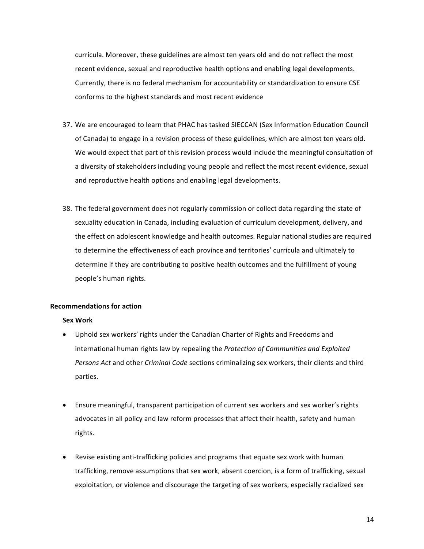curricula. Moreover, these guidelines are almost ten years old and do not reflect the most recent evidence, sexual and reproductive health options and enabling legal developments. Currently, there is no federal mechanism for accountability or standardization to ensure CSE conforms to the highest standards and most recent evidence

- 37. We are encouraged to learn that PHAC has tasked SIECCAN (Sex Information Education Council of Canada) to engage in a revision process of these guidelines, which are almost ten years old. We would expect that part of this revision process would include the meaningful consultation of a diversity of stakeholders including young people and reflect the most recent evidence, sexual and reproductive health options and enabling legal developments.
- 38. The federal government does not regularly commission or collect data regarding the state of sexuality education in Canada, including evaluation of curriculum development, delivery, and the effect on adolescent knowledge and health outcomes. Regular national studies are required to determine the effectiveness of each province and territories' curricula and ultimately to determine if they are contributing to positive health outcomes and the fulfillment of young people's human rights.

## **Recommendations for action**

#### **Sex Work**

- Uphold sex workers' rights under the Canadian Charter of Rights and Freedoms and international human rights law by repealing the *Protection of Communities and Exploited* Persons Act and other *Criminal Code* sections criminalizing sex workers, their clients and third parties.
- Ensure meaningful, transparent participation of current sex workers and sex worker's rights advocates in all policy and law reform processes that affect their health, safety and human rights.
- Revise existing anti-trafficking policies and programs that equate sex work with human trafficking, remove assumptions that sex work, absent coercion, is a form of trafficking, sexual exploitation, or violence and discourage the targeting of sex workers, especially racialized sex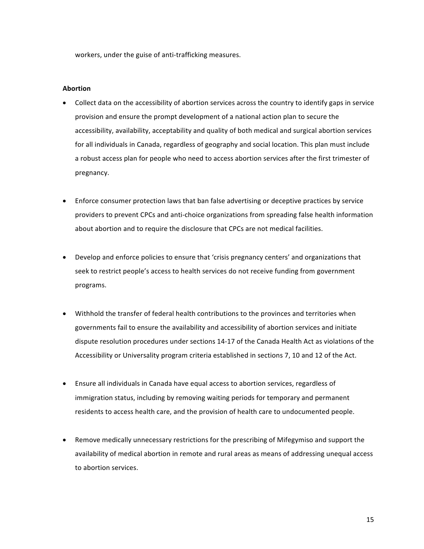workers, under the guise of anti-trafficking measures.

### **Abortion**

- Collect data on the accessibility of abortion services across the country to identify gaps in service provision and ensure the prompt development of a national action plan to secure the accessibility, availability, acceptability and quality of both medical and surgical abortion services for all individuals in Canada, regardless of geography and social location. This plan must include a robust access plan for people who need to access abortion services after the first trimester of pregnancy.
- Enforce consumer protection laws that ban false advertising or deceptive practices by service providers to prevent CPCs and anti-choice organizations from spreading false health information about abortion and to require the disclosure that CPCs are not medical facilities.
- Develop and enforce policies to ensure that 'crisis pregnancy centers' and organizations that seek to restrict people's access to health services do not receive funding from government programs.
- Withhold the transfer of federal health contributions to the provinces and territories when governments fail to ensure the availability and accessibility of abortion services and initiate dispute resolution procedures under sections 14-17 of the Canada Health Act as violations of the Accessibility or Universality program criteria established in sections 7, 10 and 12 of the Act.
- Ensure all individuals in Canada have equal access to abortion services, regardless of immigration status, including by removing waiting periods for temporary and permanent residents to access health care, and the provision of health care to undocumented people.
- Remove medically unnecessary restrictions for the prescribing of Mifegymiso and support the availability of medical abortion in remote and rural areas as means of addressing unequal access to abortion services.